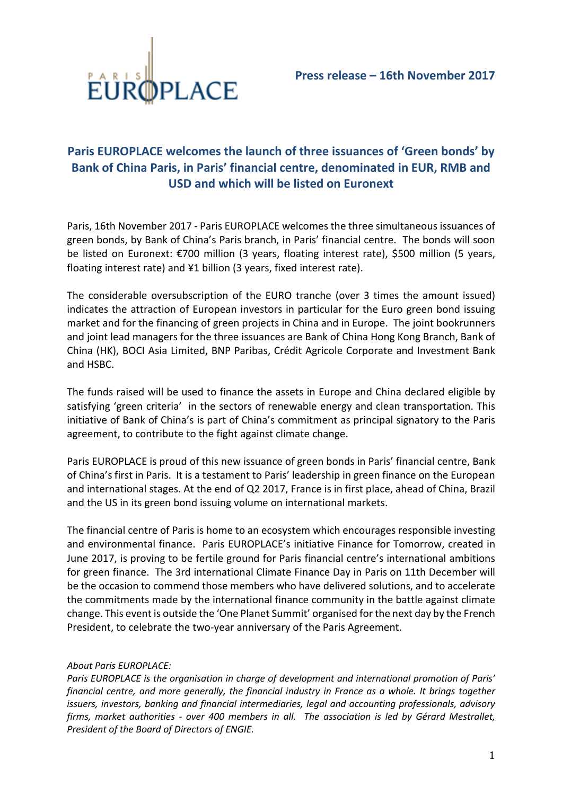

## **Paris EUROPLACE welcomes the launch of three issuances of 'Green bonds' by Bank of China Paris, in Paris' financial centre, denominated in EUR, RMB and USD and which will be listed on Euronext**

Paris, 16th November 2017 - Paris EUROPLACE welcomes the three simultaneous issuances of green bonds, by Bank of China's Paris branch, in Paris' financial centre. The bonds will soon be listed on Euronext: €700 million (3 years, floating interest rate), \$500 million (5 years, floating interest rate) and ¥1 billion (3 years, fixed interest rate).

The considerable oversubscription of the EURO tranche (over 3 times the amount issued) indicates the attraction of European investors in particular for the Euro green bond issuing market and for the financing of green projects in China and in Europe. The joint bookrunners and joint lead managers for the three issuances are Bank of China Hong Kong Branch, Bank of China (HK), BOCI Asia Limited, BNP Paribas, Crédit Agricole Corporate and Investment Bank and HSBC.

The funds raised will be used to finance the assets in Europe and China declared eligible by satisfying 'green criteria' in the sectors of renewable energy and clean transportation. This initiative of Bank of China's is part of China's commitment as principal signatory to the Paris agreement, to contribute to the fight against climate change.

Paris EUROPLACE is proud of this new issuance of green bonds in Paris' financial centre, Bank of China's first in Paris. It is a testament to Paris' leadership in green finance on the European and international stages. At the end of Q2 2017, France is in first place, ahead of China, Brazil and the US in its green bond issuing volume on international markets.

The financial centre of Paris is home to an ecosystem which encourages responsible investing and environmental finance. Paris EUROPLACE's initiative Finance for Tomorrow, created in June 2017, is proving to be fertile ground for Paris financial centre's international ambitions for green finance. The 3rd international Climate Finance Day in Paris on 11th December will be the occasion to commend those members who have delivered solutions, and to accelerate the commitments made by the international finance community in the battle against climate change. This event is outside the 'One Planet Summit' organised for the next day by the French President, to celebrate the two-year anniversary of the Paris Agreement.

## *About Paris EUROPLACE:*

*Paris EUROPLACE is the organisation in charge of development and international promotion of Paris' financial centre, and more generally, the financial industry in France as a whole. It brings together issuers, investors, banking and financial intermediaries, legal and accounting professionals, advisory firms, market authorities - over 400 members in all. The association is led by Gérard Mestrallet, President of the Board of Directors of ENGIE.*